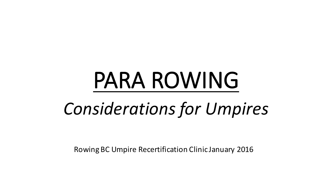# PARA ROWING *Considerations for Umpires*

Rowing BC Umpire Recertification Clinic January 2016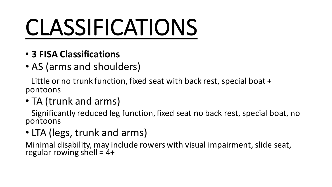# CLASSIFICATIONS

- **3 FISA Classifications**
- AS (arms and shoulders)

Little or no trunk function, fixed seat with back rest, special boat  $+$ pontoons

• TA (trunk and arms)

Significantly reduced leg function, fixed seat no back rest, special boat, no pontoons

• LTA (legs, trunk and arms)

Minimal disability, may include rowers with visual impairment, slide seat, regular rowing shell  $=$  4+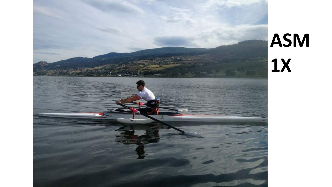

## **ASM 1X**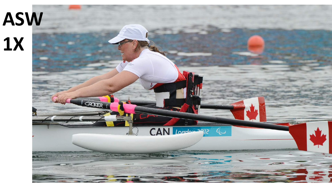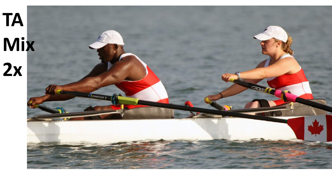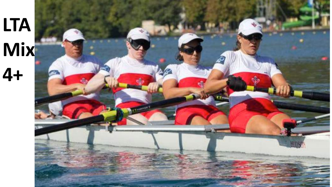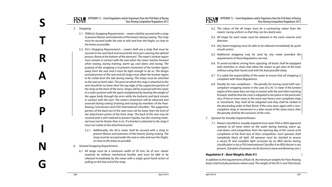#### APPENDIX 13 – Event Regulations and/or Departures from the FISA Rules of Racing **FISAW** Para-Rowing Competition Regulations 2013

- *5. Strapping*
	- *5.1. TAMix2x Strapping Requirements rowers shall be secured with a strap to prevent flexion and extension of the knee(s) during rowing. The strap must be secured under the seat or rails and over the thighs, as close to the knees as possible.*
	- *5.2. AS1x Strapping Requirements rowers shall use a strap that must be secured to the seat back and around the torso just covering the xiphoid process (bone at the bottom of the sternum). The rower's lumbar region must remain in contact with the seat when the rower reaches forward when rowing, during training, warm up, cool down and racing. The purpose of the strapping is to prevent movement of the lumbar region away from the seat and it must be tight enough to do so. The design and placement of the seat and all straps must allow the lumbar region to be visible from the side during rowing. The straps must be attached to the seat on both sides. The point at which the strap is attached to the seat should be no lower than the top edge of the supportive portion of the strap at the front of the torso. Straps will be assessed with the rower in a static position with the spine straightened by bearing the weight of the upper body through the arms while the buttocks and back remain in contact with the seat. The rower's movement will be observed and assessed during rowing (training and racing) by members of the Para-Rowing Commission and FISA International Classifiers. The supportive portion of the back rest of the seat must not be lower than the level of the attachment points of the front strap. The back of the seat may be covered with a soft material to prevent injuries, but the covering mate rial must not be thicker than 2 cm. If a bracket is attached to the strap it must not rotate at the attachment point.*
		- *5.2.1. Additionally, the AS1x rower shall be secured with a strap to prevent flexion and extension of the knee(s) during rowing. The strap must be secured under the seat or rails and over the thighs, as close to the knees as possible.*
- *6. General Strapping Requirements*
	- *6.1. All straps must be a minimum width of 50 mm, be of non- elastic material, be without mechanical buckles and must be able to be released immediately by the rower with a single quick hand action of pulling on the free end of the strap.*

#### APPENDIX 13 – Event Regulations and/or Departures from the FISA Rules of Racing FISAW Para-Rowing Competition Regulations 2013

- *6.2. The colour of the all straps must be a contrasting colour from the rowers' racing uniform so that they can be clearly seen.*
- *6.3. All straps for each rower must be released in the same manner and direction.*
- *6.4. Any hand strapping must be able to be released immediately by quick mouth action.*
- *6.5. Additional strapping may be used by any rower provided the requirements of these Regulations are met.*
- *6.6. To avoid accidents arising from capsizing, all boats shall be equipped with stretchers or shoes that allow the rowers to get clear of the boat without using their hands and with the least possible delay.*
- *6.7 It is solely the responsibility of the rower to ensure that all strapping is compliant with these Regulations.*
- *6.8 Penalty for non-compliance The penalty for having raced with noncompliant strapping and/or in the case of a AS 1x rower if the lumbar region of the rower does not stay in contact with the seat when reaching forward, shall be that the crew is relegated to last place in the particular race. If two or more crews in the same race have a non-compliant strap or movement, they shall all be relegated and they shall be ranked in the descending order of their finish. If the crew races again with a noncompliant strap or movement in a later round of the same event, then the penalty shall be the exclusion of the crew.*
- *7. Eyewear for Visually Impaired Rowers*
	- *7.1. Rowers classified as visually impaired must wear FISA or IBSA approved eyewear at all times when on the water during training, warm up, cool down, and competition from the opening day of the course until completion of the final race of their competition. Such eyewear shall completely block all light. All eyewear must be checked to ensure a secure fit and complete light occlusion by an IBSA doctor during classification or by a FISA International Classifier if an IBSA doctor is not present. (Samples of eyewear can be found on www.worldrowing.com.)*

#### *Regulation 9 – Boat Weights (Rule 41)*

*In addition to the requirements of Rule 34, the minimum weights for Para-Rowing boats shall include pontoons where used. The weight of the AS1x and TA2x boats* 

**STRAPPING**

D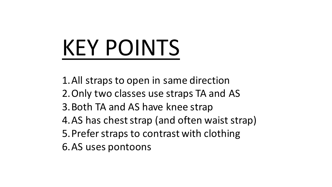# KEY POINTS

- 1. All straps to open in same direction
- 2. Only two classes use straps TA and AS
- 3. Both TA and AS have knee strap
- 4. AS has chest strap (and often waist strap)
- 5. Prefer straps to contrast with clothing
- 6.AS uses pontoons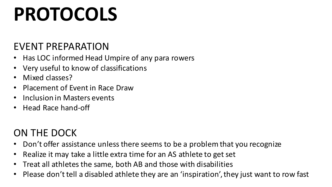## **PROTOCOLS**

### EVENT PREPARATION

- Has LOC informed Head Umpire of any para rowers
- Very useful to know of classifications
- Mixed classes?
- Placement of Event in Race Draw
- Inclusion in Masters events
- Head Race hand-off

### ON THE DOCK

- Don't offer assistance unless there seems to be a problem that you recognize
- Realize it may take a little extra time for an AS athlete to get set
- Treat all athletes the same, both AB and those with disabilities
- Please don't tell a disabled athlete they are an 'inspiration', they just want to row fast